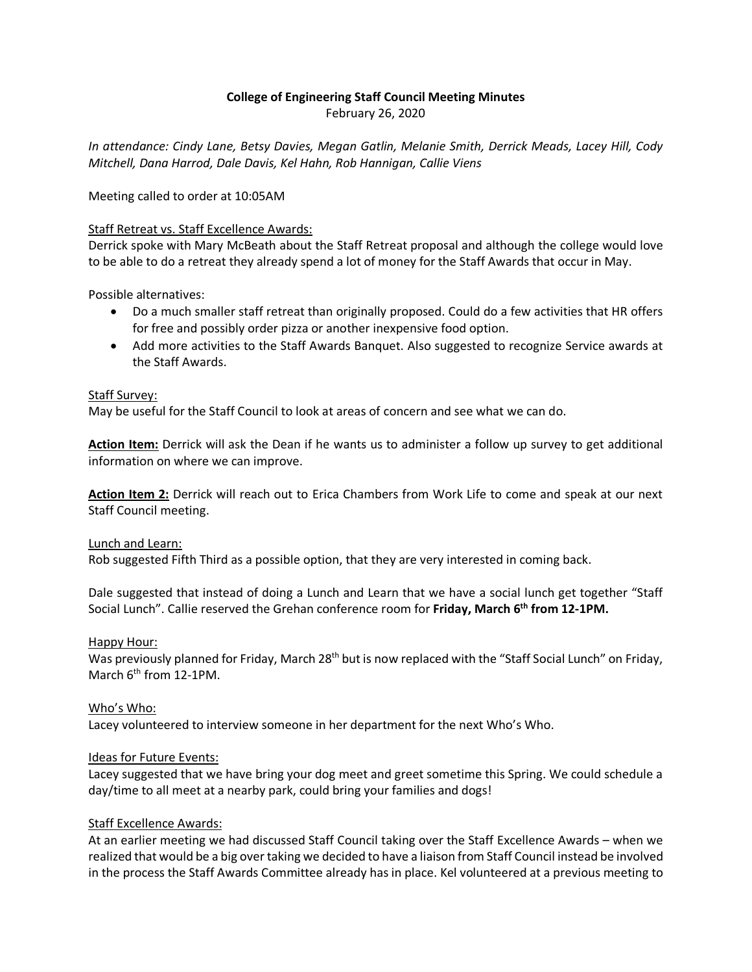# **College of Engineering Staff Council Meeting Minutes**

February 26, 2020

*In attendance: Cindy Lane, Betsy Davies, Megan Gatlin, Melanie Smith, Derrick Meads, Lacey Hill, Cody Mitchell, Dana Harrod, Dale Davis, Kel Hahn, Rob Hannigan, Callie Viens*

Meeting called to order at 10:05AM

## Staff Retreat vs. Staff Excellence Awards:

Derrick spoke with Mary McBeath about the Staff Retreat proposal and although the college would love to be able to do a retreat they already spend a lot of money for the Staff Awards that occur in May.

Possible alternatives:

- Do a much smaller staff retreat than originally proposed. Could do a few activities that HR offers for free and possibly order pizza or another inexpensive food option.
- Add more activities to the Staff Awards Banquet. Also suggested to recognize Service awards at the Staff Awards.

## Staff Survey:

May be useful for the Staff Council to look at areas of concern and see what we can do.

**Action Item:** Derrick will ask the Dean if he wants us to administer a follow up survey to get additional information on where we can improve.

**Action Item 2:** Derrick will reach out to Erica Chambers from Work Life to come and speak at our next Staff Council meeting.

Lunch and Learn:

Rob suggested Fifth Third as a possible option, that they are very interested in coming back.

Dale suggested that instead of doing a Lunch and Learn that we have a social lunch get together "Staff Social Lunch". Callie reserved the Grehan conference room for **Friday, March 6th from 12-1PM.**

### Happy Hour:

Was previously planned for Friday, March 28<sup>th</sup> but is now replaced with the "Staff Social Lunch" on Friday, March 6<sup>th</sup> from 12-1PM.

## Who's Who:

Lacey volunteered to interview someone in her department for the next Who's Who.

### Ideas for Future Events:

Lacey suggested that we have bring your dog meet and greet sometime this Spring. We could schedule a day/time to all meet at a nearby park, could bring your families and dogs!

## Staff Excellence Awards:

At an earlier meeting we had discussed Staff Council taking over the Staff Excellence Awards – when we realized that would be a big over taking we decided to have a liaison from Staff Council instead be involved in the process the Staff Awards Committee already has in place. Kel volunteered at a previous meeting to